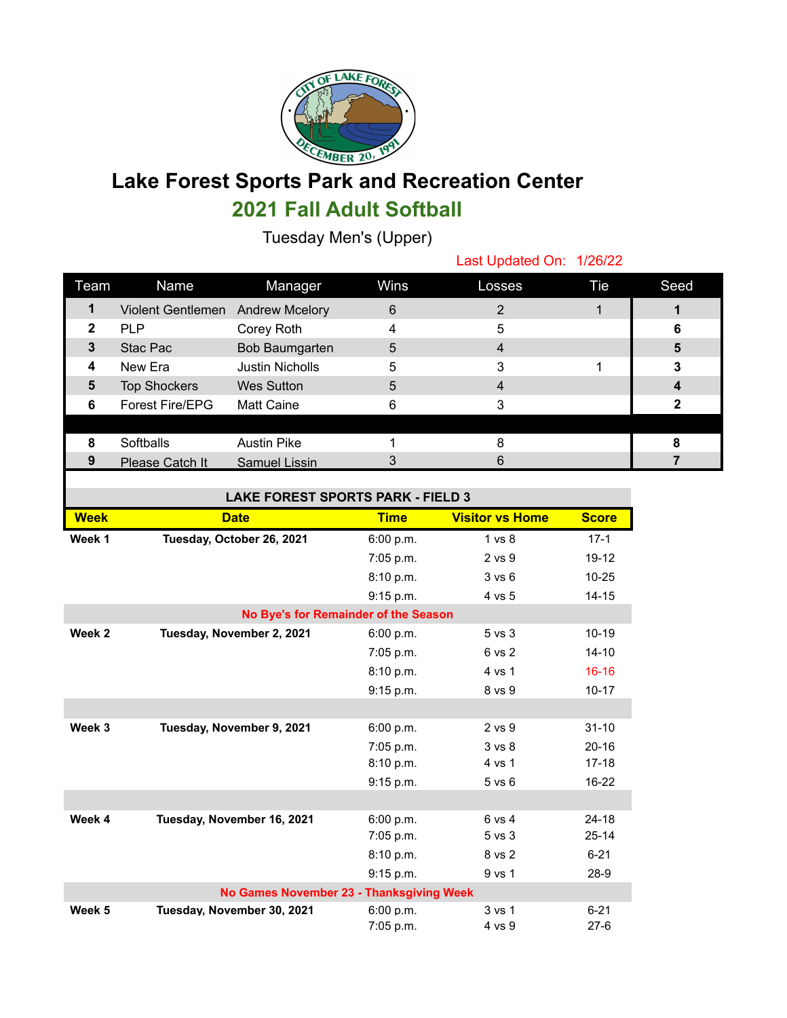

## **Lake Forest Sports Park and Recreation Center**

## **2021 Fall Adult Softball**

Tuesday Men's (Upper)

Last Updated On: 1/26/22

| Team | Name                             | Manager                | Wins | Losses | Tie | Seed |
|------|----------------------------------|------------------------|------|--------|-----|------|
|      | Violent Gentlemen Andrew Mcelory |                        | 6    |        |     |      |
| 2    | <b>PLP</b>                       | Corey Roth             |      | 5      |     | 6    |
| 3    | Stac Pac                         | Bob Baumgarten         | 5    | 4      |     | 5    |
| 4    | New Era                          | <b>Justin Nicholls</b> | 5    | 3      |     | 3    |
| 5    | <b>Top Shockers</b>              | Wes Sutton             | 5    |        |     |      |
| 6    | <b>Forest Fire/EPG</b>           | <b>Matt Caine</b>      |      |        |     |      |
|      |                                  |                        |      |        |     |      |
| 8    | Softballs                        | <b>Austin Pike</b>     |      |        |     |      |
| 9    | Please Catch It                  | Samuel Lissin          |      | 6      |     |      |

| LAKE FOREST SPORTS PARK - FIELD 3 |
|-----------------------------------|
|-----------------------------------|

| 51501515151711                       |                                          |             |                        |              |  |  |
|--------------------------------------|------------------------------------------|-------------|------------------------|--------------|--|--|
| <b>Week</b>                          | <b>Date</b>                              | <b>Time</b> | <b>Visitor vs Home</b> | <b>Score</b> |  |  |
| Week 1                               | Tuesday, October 26, 2021                | 6:00 p.m.   | 1 vs 8                 | $17-1$       |  |  |
|                                      |                                          | 7:05 p.m.   | 2 vs 9                 | $19 - 12$    |  |  |
|                                      |                                          | 8:10 p.m.   | 3 v s 6                | $10 - 25$    |  |  |
|                                      |                                          | 9:15 p.m.   | 4 vs 5                 | $14 - 15$    |  |  |
| No Bye's for Remainder of the Season |                                          |             |                        |              |  |  |
| Week 2                               | Tuesday, November 2, 2021                | 6:00 p.m.   | $5$ vs $3$             | $10 - 19$    |  |  |
|                                      |                                          | 7:05 p.m.   | 6 vs 2                 | $14 - 10$    |  |  |
|                                      |                                          | 8:10 p.m.   | 4 vs 1                 | $16 - 16$    |  |  |
|                                      |                                          | 9:15 p.m.   | 8 vs 9                 | $10 - 17$    |  |  |
|                                      |                                          |             |                        |              |  |  |
| Week 3                               | Tuesday, November 9, 2021                | 6:00 p.m.   | 2 vs 9                 | $31 - 10$    |  |  |
|                                      |                                          | 7:05 p.m.   | 3 vs 8                 | $20 - 16$    |  |  |
|                                      |                                          | 8:10 p.m.   | 4 vs 1                 | $17 - 18$    |  |  |
|                                      |                                          | 9:15 p.m.   | $5$ vs $6$             | $16 - 22$    |  |  |
|                                      |                                          |             |                        |              |  |  |
| Week 4                               | Tuesday, November 16, 2021               | 6:00 p.m.   | 6 vs 4                 | $24 - 18$    |  |  |
|                                      |                                          | $7:05$ p.m. | 5 vs 3                 | $25 - 14$    |  |  |
|                                      |                                          | 8:10 p.m.   | 8 vs 2                 | $6 - 21$     |  |  |
|                                      |                                          | 9:15 p.m.   | 9 vs 1                 | $28-9$       |  |  |
|                                      | No Games November 23 - Thanksgiving Week |             |                        |              |  |  |
| Week 5                               | Tuesday, November 30, 2021               | 6:00 p.m.   | 3 vs 1                 | $6 - 21$     |  |  |
|                                      |                                          | 7:05 p.m.   | 4 vs 9                 | $27 - 6$     |  |  |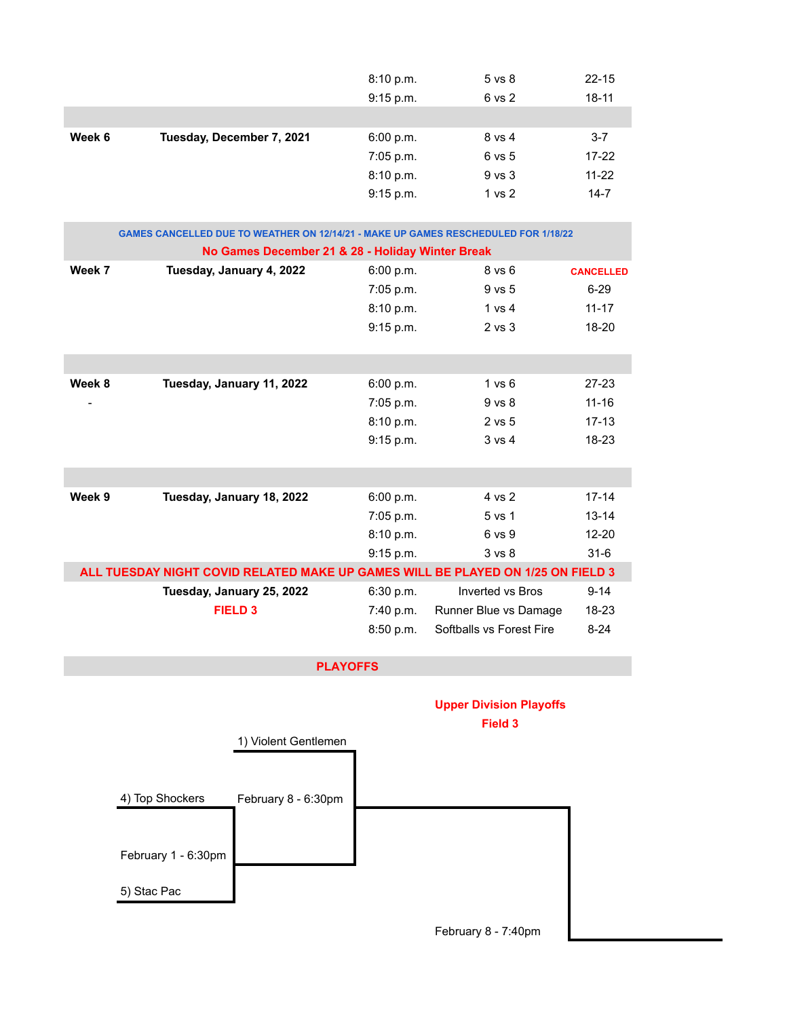|        |                           | 8:10 p.m. | $5$ vs $8$        | $22 - 15$ |
|--------|---------------------------|-----------|-------------------|-----------|
|        |                           | 9:15 p.m. | 6 vs 2            | $18 - 11$ |
|        |                           |           |                   |           |
| Week 6 | Tuesday, December 7, 2021 | 6:00 p.m. | 8 vs 4            | $3 - 7$   |
|        |                           | 7:05 p.m. | 6 vs 5            | $17 - 22$ |
|        |                           | 8:10 p.m. | $9$ vs $3$        | $11 - 22$ |
|        |                           | 9:15 p.m. | 1 <sub>vs</sub> 2 | $14 - 7$  |

| <b>GAMES CANCELLED DUE TO WEATHER ON 12/14/21 - MAKE UP GAMES RESCHEDULED FOR 1/18/22</b> |                                                  |             |                          |                  |  |  |  |
|-------------------------------------------------------------------------------------------|--------------------------------------------------|-------------|--------------------------|------------------|--|--|--|
|                                                                                           | No Games December 21 & 28 - Holiday Winter Break |             |                          |                  |  |  |  |
| Week 7                                                                                    | Tuesday, January 4, 2022                         | 6:00 p.m.   | $8$ vs $6$               | <b>CANCELLED</b> |  |  |  |
|                                                                                           |                                                  | $7:05$ p.m. | $9$ vs $5$               | $6 - 29$         |  |  |  |
|                                                                                           |                                                  | 8:10 p.m.   | 1 vs 4                   | $11 - 17$        |  |  |  |
|                                                                                           |                                                  | 9:15 p.m.   | $2$ vs $3$               | $18 - 20$        |  |  |  |
|                                                                                           |                                                  |             |                          |                  |  |  |  |
|                                                                                           |                                                  |             |                          |                  |  |  |  |
| Week 8                                                                                    | Tuesday, January 11, 2022                        | 6:00 p.m.   | 1 vs 6                   | $27 - 23$        |  |  |  |
|                                                                                           |                                                  | 7:05 p.m.   | 9 vs 8                   | $11 - 16$        |  |  |  |
|                                                                                           |                                                  | 8:10 p.m.   | $2$ vs $5$               | $17 - 13$        |  |  |  |
|                                                                                           |                                                  | 9:15 p.m.   | 3 v s 4                  | $18-23$          |  |  |  |
|                                                                                           |                                                  |             |                          |                  |  |  |  |
|                                                                                           |                                                  |             |                          |                  |  |  |  |
| Week 9                                                                                    | Tuesday, January 18, 2022                        | 6:00 p.m.   | 4 vs 2                   | $17 - 14$        |  |  |  |
|                                                                                           |                                                  | $7:05$ p.m. | 5 vs 1                   | $13 - 14$        |  |  |  |
|                                                                                           |                                                  | 8:10 p.m.   | 6 vs 9                   | $12 - 20$        |  |  |  |
|                                                                                           |                                                  | 9:15 p.m.   | 3 <sub>vs</sub> 8        | $31 - 6$         |  |  |  |
| ALL TUESDAY NIGHT COVID RELATED MAKE UP GAMES WILL BE PLAYED ON 1/25 ON FIELD 3           |                                                  |             |                          |                  |  |  |  |
|                                                                                           | Tuesday, January 25, 2022                        | 6:30 p.m.   | Inverted vs Bros         | $9 - 14$         |  |  |  |
|                                                                                           | <b>FIELD 3</b>                                   | 7:40 p.m.   | Runner Blue vs Damage    | 18-23            |  |  |  |
|                                                                                           |                                                  | 8:50 p.m.   | Softballs vs Forest Fire | $8 - 24$         |  |  |  |

## **PLAYOFFS**

## **Upper Division Playoffs Field 3**



February 8 - 7:40pm